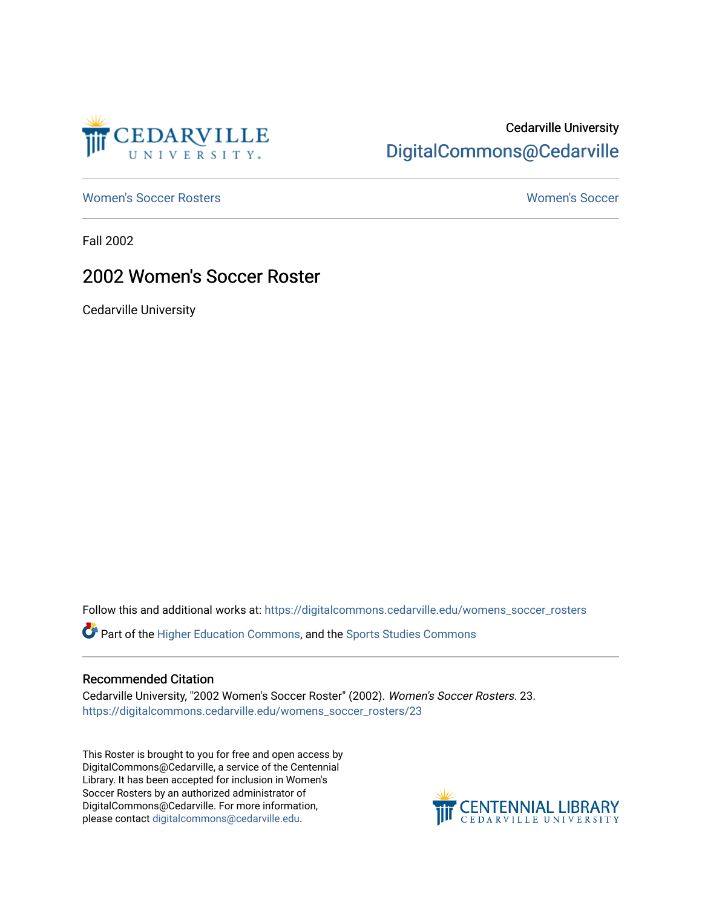

## Cedarville University [DigitalCommons@Cedarville](https://digitalcommons.cedarville.edu/)

[Women's Soccer Rosters](https://digitalcommons.cedarville.edu/womens_soccer_rosters) [Women's Soccer](https://digitalcommons.cedarville.edu/womens_soccer) 

Fall 2002

## 2002 Women's Soccer Roster

Cedarville University

Follow this and additional works at: [https://digitalcommons.cedarville.edu/womens\\_soccer\\_rosters](https://digitalcommons.cedarville.edu/womens_soccer_rosters?utm_source=digitalcommons.cedarville.edu%2Fwomens_soccer_rosters%2F23&utm_medium=PDF&utm_campaign=PDFCoverPages) 

Part of the [Higher Education Commons,](http://network.bepress.com/hgg/discipline/1245?utm_source=digitalcommons.cedarville.edu%2Fwomens_soccer_rosters%2F23&utm_medium=PDF&utm_campaign=PDFCoverPages) and the [Sports Studies Commons](http://network.bepress.com/hgg/discipline/1198?utm_source=digitalcommons.cedarville.edu%2Fwomens_soccer_rosters%2F23&utm_medium=PDF&utm_campaign=PDFCoverPages) 

## Recommended Citation

Cedarville University, "2002 Women's Soccer Roster" (2002). Women's Soccer Rosters. 23. [https://digitalcommons.cedarville.edu/womens\\_soccer\\_rosters/23](https://digitalcommons.cedarville.edu/womens_soccer_rosters/23?utm_source=digitalcommons.cedarville.edu%2Fwomens_soccer_rosters%2F23&utm_medium=PDF&utm_campaign=PDFCoverPages)

This Roster is brought to you for free and open access by DigitalCommons@Cedarville, a service of the Centennial Library. It has been accepted for inclusion in Women's Soccer Rosters by an authorized administrator of DigitalCommons@Cedarville. For more information, please contact [digitalcommons@cedarville.edu](mailto:digitalcommons@cedarville.edu).